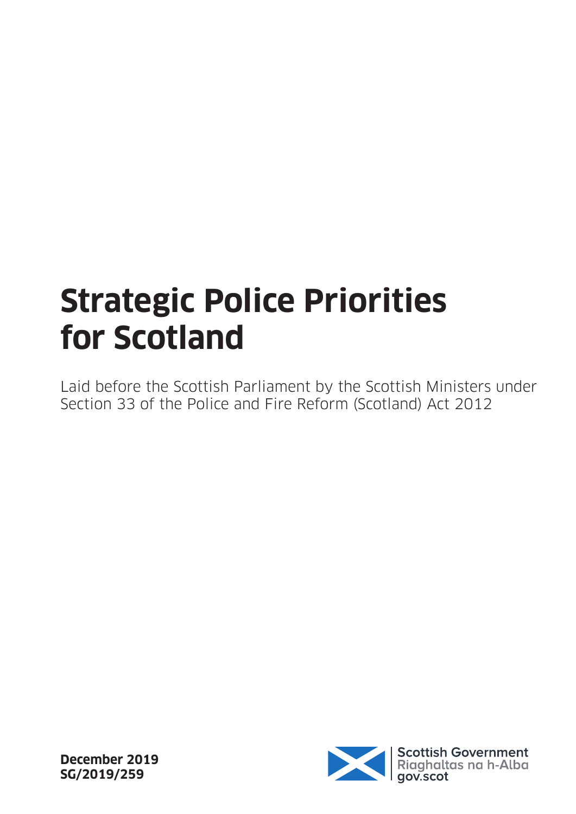## **Strategic Police Priorities for Scotland**

Laid before the Scottish Parliament by the Scottish Ministers under Section 33 of the Police and Fire Reform (Scotland) Act 2012



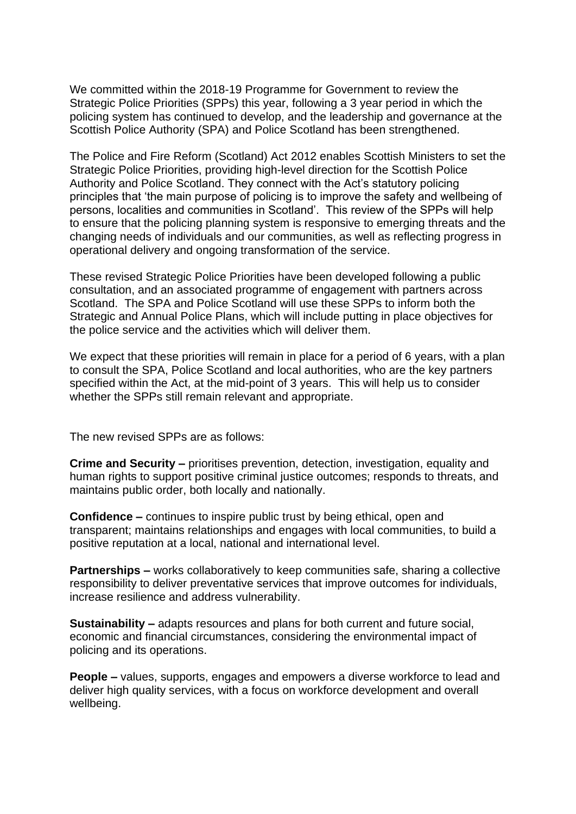We committed within the 2018-19 Programme for Government to review the Strategic Police Priorities (SPPs) this year, following a 3 year period in which the policing system has continued to develop, and the leadership and governance at the Scottish Police Authority (SPA) and Police Scotland has been strengthened.

The Police and Fire Reform (Scotland) Act 2012 enables Scottish Ministers to set the Strategic Police Priorities, providing high-level direction for the Scottish Police Authority and Police Scotland. They connect with the Act's statutory policing principles that 'the main purpose of policing is to improve the safety and wellbeing of persons, localities and communities in Scotland'. This review of the SPPs will help to ensure that the policing planning system is responsive to emerging threats and the changing needs of individuals and our communities, as well as reflecting progress in operational delivery and ongoing transformation of the service.

These revised Strategic Police Priorities have been developed following a public consultation, and an associated programme of engagement with partners across Scotland. The SPA and Police Scotland will use these SPPs to inform both the Strategic and Annual Police Plans, which will include putting in place objectives for the police service and the activities which will deliver them.

We expect that these priorities will remain in place for a period of 6 years, with a plan to consult the SPA, Police Scotland and local authorities, who are the key partners specified within the Act, at the mid-point of 3 years. This will help us to consider whether the SPPs still remain relevant and appropriate.

The new revised SPPs are as follows:

**Crime and Security –** prioritises prevention, detection, investigation, equality and human rights to support positive criminal justice outcomes; responds to threats, and maintains public order, both locally and nationally.

**Confidence –** continues to inspire public trust by being ethical, open and transparent; maintains relationships and engages with local communities, to build a positive reputation at a local, national and international level.

**Partnerships –** works collaboratively to keep communities safe, sharing a collective responsibility to deliver preventative services that improve outcomes for individuals, increase resilience and address vulnerability.

**Sustainability –** adapts resources and plans for both current and future social, economic and financial circumstances, considering the environmental impact of policing and its operations.

**People –** values, supports, engages and empowers a diverse workforce to lead and deliver high quality services, with a focus on workforce development and overall wellbeing.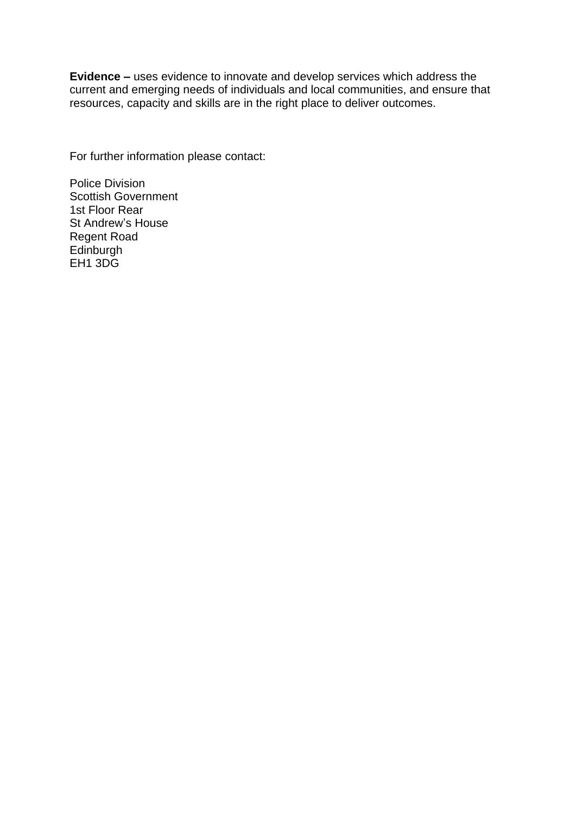**Evidence –** uses evidence to innovate and develop services which address the current and emerging needs of individuals and local communities, and ensure that resources, capacity and skills are in the right place to deliver outcomes.

For further information please contact:

Police Division Scottish Government 1st Floor Rear St Andrew's House Regent Road **Edinburgh** EH<sub>1</sub> 3DG